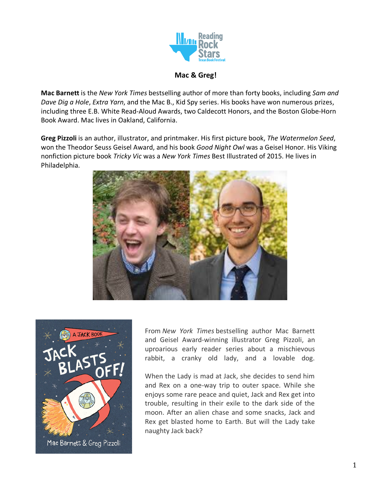

### **Mac & Greg!**

**Mac Barnett** is the *New York Times* bestselling author of more than forty books, including *Sam and Dave Dig a Hole*, *Extra Yarn*, and the Mac B., Kid Spy series. His books have won numerous prizes, including three E.B. White Read-Aloud Awards, two Caldecott Honors, and the Boston Globe-Horn Book Award. Mac lives in Oakland, California.

**Greg Pizzoli** is an author, illustrator, and printmaker. His first picture book, *The Watermelon Seed*, won the Theodor Seuss Geisel Award, and his book *Good Night Owl* was a Geisel Honor. His Viking nonfiction picture book *Tricky Vic* was a *New York Times* Best Illustrated of 2015. He lives in Philadelphia.





From *New York Times* bestselling author Mac Barnett and Geisel Award-winning illustrator Greg Pizzoli, an uproarious early reader series about a mischievous rabbit, a cranky old lady, and a lovable dog.

When the Lady is mad at Jack, she decides to send him and Rex on a one-way trip to outer space. While she enjoys some rare peace and quiet, Jack and Rex get into trouble, resulting in their exile to the dark side of the moon. After an alien chase and some snacks, Jack and Rex get blasted home to Earth. But will the Lady take naughty Jack back?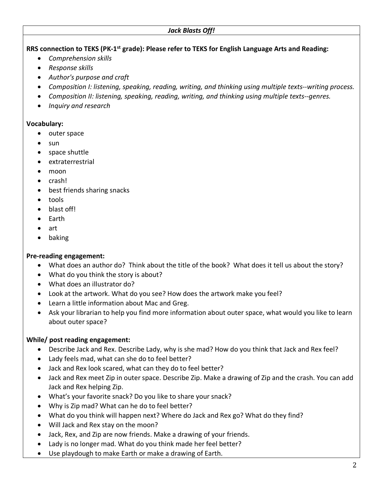## **RRS connection to TEKS (PK-1st grade): Please refer to TEKS for English Language Arts and Reading:**

- *Comprehension skills*
- *Response skills*
- *Author's purpose and craft*
- *Composition I: listening, speaking, reading, writing, and thinking using multiple texts--writing process.*
- *Composition II: listening, speaking, reading, writing, and thinking using multiple texts--genres.*
- *Inquiry and research*

#### **Vocabulary:**

- outer space
- sun
- space shuttle
- extraterrestrial
- moon
- crash!
- best friends sharing snacks
- tools
- blast off!
- Earth
- art
- baking

### **Pre-reading engagement:**

- What does an author do? Think about the title of the book? What does it tell us about the story?
- What do you think the story is about?
- What does an illustrator do?
- Look at the artwork. What do you see? How does the artwork make you feel?
- Learn a little information about Mac and Greg.
- Ask your librarian to help you find more information about outer space, what would you like to learn about outer space?

# **While/ post reading engagement:**

- Describe Jack and Rex. Describe Lady, why is she mad? How do you think that Jack and Rex feel?
- Lady feels mad, what can she do to feel better?
- Jack and Rex look scared, what can they do to feel better?
- Jack and Rex meet Zip in outer space. Describe Zip. Make a drawing of Zip and the crash. You can add Jack and Rex helping Zip.
- What's your favorite snack? Do you like to share your snack?
- Why is Zip mad? What can he do to feel better?
- What do you think will happen next? Where do Jack and Rex go? What do they find?
- Will Jack and Rex stay on the moon?
- Jack, Rex, and Zip are now friends. Make a drawing of your friends.
- Lady is no longer mad. What do you think made her feel better?
- Use playdough to make Earth or make a drawing of Earth.